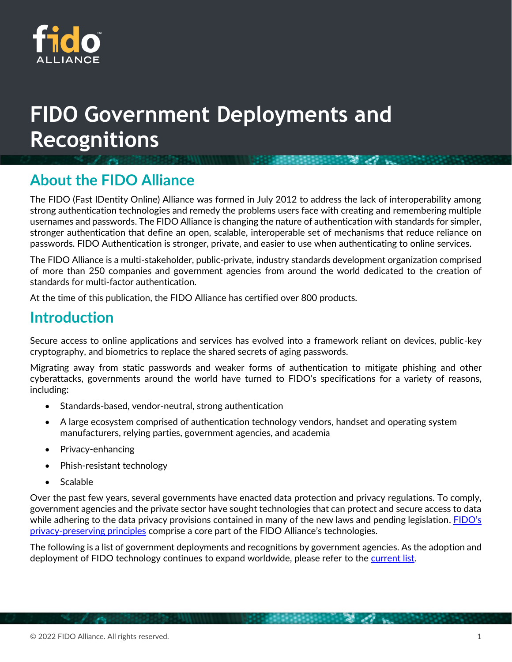

# **FIDO Government Deployments and Recognitions**

# **About the FIDO Alliance**

The FIDO (Fast IDentity Online) Alliance was formed in July 2012 to address the lack of interoperability among strong authentication technologies and remedy the problems users face with creating and remembering multiple usernames and passwords. The FIDO Alliance is changing the nature of authentication with standards for simpler, stronger authentication that define an open, scalable, interoperable set of mechanisms that reduce reliance on passwords. FIDO Authentication is stronger, private, and easier to use when authenticating to online services.

The FIDO Alliance is a multi-stakeholder, public-private, industry standards development organization comprised of more than 250 companies and government agencies from around the world dedicated to the creation of standards for multi-factor authentication.

At the time of this publication, the FIDO Alliance has certified over 800 products.

# **Introduction**

Secure access to online applications and services has evolved into a framework reliant on devices, public-key cryptography, and biometrics to replace the shared secrets of aging passwords.

Migrating away from static passwords and weaker forms of authentication to mitigate phishing and other cyberattacks, governments around the world have turned to FIDO's specifications for a variety of reasons, including:

- Standards-based, vendor-neutral, strong authentication
- A large ecosystem comprised of authentication technology vendors, handset and operating system manufacturers, relying parties, government agencies, and academia
- Privacy-enhancing
- Phish-resistant technology
- Scalable

Over the past few years, several governments have enacted data protection and privacy regulations. To comply, government agencies and the private sector have sought technologies that can protect and secure access to data while adhering to the data privacy provisions contained in many of the new laws and pending legislation. FIDO's [privacy-preserving principles](https://media.fidoalliance.org/wp-content/uploads/2021/02/FIDO-Privacy-Principles.pdf) comprise a core part of the FIDO Alliance's technologies.

The following is a list of government deployments and recognitions by government agencies. As the adoption and deployment of FIDO technology continues to expand worldwide, please refer to th[e current list.](https://fidoalliance.org/fido-government-deployments-and-recognitions/)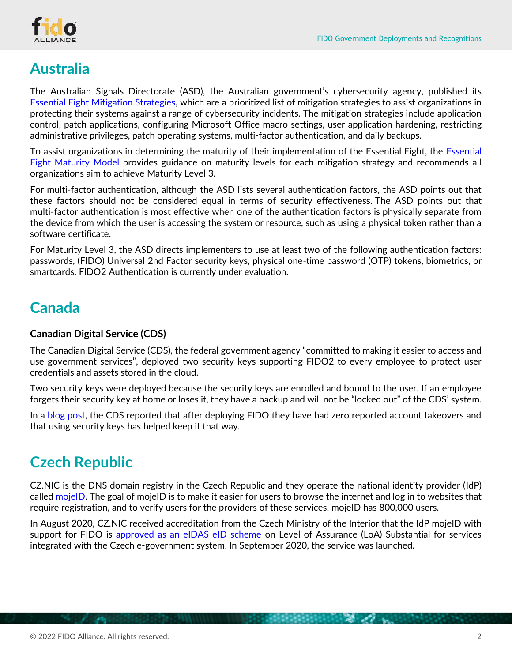

# **Australia**

The Australian Signals Directorate (ASD), the Australian government's cybersecurity agency, published its [Essential Eight Mitigation Strategies,](https://www.cyber.gov.au/acsc/view-all-content/essential-eight) which are a prioritized list of mitigation strategies to assist organizations in protecting their systems against a range of cybersecurity incidents. The mitigation strategies include application control, patch applications, configuring Microsoft Office macro settings, user application hardening, restricting administrative privileges, patch operating systems, multi-factor authentication, and daily backups.

To assist organizations in determining the maturity of their implementation of the [Essential](https://www.cyber.gov.au/acsc/view-all-content/publications/essential-eight-maturity-model) Eight, the Essential [Eight Maturity Model](https://www.cyber.gov.au/acsc/view-all-content/publications/essential-eight-maturity-model) provides guidance on maturity levels for each mitigation strategy and recommends all organizations aim to achieve Maturity Level 3.

For multi-factor authentication, although the ASD lists several authentication factors, the ASD points out that these factors should not be considered equal in terms of security effectiveness. The ASD points out that multi-factor authentication is most effective when one of the authentication factors is physically separate from the device from which the user is accessing the system or resource, such as using a physical token rather than a software certificate.

For Maturity Level 3, the ASD directs implementers to use at least two of the following authentication factors: passwords, (FIDO) Universal 2nd Factor security keys, physical one-time password (OTP) tokens, biometrics, or smartcards. FIDO2 Authentication is currently under evaluation.

# **Canada**

### **Canadian Digital Service (CDS)**

The Canadian Digital Service (CDS), the federal government agency "committed to making it easier to access and use government services", deployed two security keys supporting FIDO2 to every employee to protect user credentials and assets stored in the cloud.

Two security keys were deployed because the security keys are enrolled and bound to the user. If an employee forgets their security key at home or loses it, they have a backup and will not be "locked out" of the CDS' system.

In a **blog post**, the CDS reported that after deploying FIDO they have had zero reported account takeovers and that using security keys has helped keep it that way.

# **Czech Republic**

CZ.NIC is the DNS domain registry in the Czech Republic and they operate the national identity provider (IdP) called [mojeID.](https://www.mojeid.cz/en/) The goal of mojeID is to make it easier for users to browse the internet and log in to websites that require registration, and to verify users for the providers of these services. mojeID has 800,000 users.

In August 2020, CZ.NIC received accreditation from the Czech Ministry of the Interior that the IdP mojeID with support for FIDO is [approved as an eIDAS eID scheme](https://www.nic.cz/page/4180/cznic-received-accreditation-to-manage-a-qualified-electronic-identification-system-from-the-moi-cr/) on Level of Assurance (LoA) Substantial for services integrated with the Czech e-government system. In September 2020, the service was launched.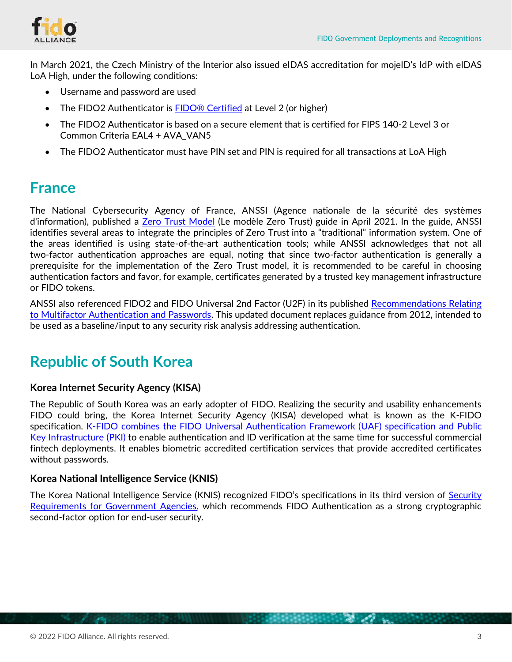

In March 2021, the Czech Ministry of the Interior also issued eIDAS accreditation for mojeID's IdP with eIDAS LoA High, under the following conditions:

- Username and password are used
- The FIDO2 Authenticator is **FIDO® Certified** at Level 2 (or higher)
- The FIDO2 Authenticator is based on a secure element that is certified for FIPS 140-2 Level 3 or Common Criteria EAL4 + AVA\_VAN5
- The FIDO2 Authenticator must have PIN set and PIN is required for all transactions at LoA High

## **France**

The National Cybersecurity Agency of France, ANSSI (Agence nationale de la sécurité des systèmes d'information), published a [Zero Trust Model](https://www.ssi.gouv.fr/agence/publication/le-modele-zero-trust/) (Le modèle Zero Trust) guide in April 2021. In the guide, ANSSI identifies several areas to integrate the principles of Zero Trust into a "traditional" information system. One of the areas identified is using state-of-the-art authentication tools; while ANSSI acknowledges that not all two-factor authentication approaches are equal, noting that since two-factor authentication is generally a prerequisite for the implementation of the Zero Trust model, it is recommended to be careful in choosing authentication factors and favor, for example, certificates generated by a trusted key management infrastructure or FIDO tokens.

ANSSI also referenced FIDO2 and FIDO Universal 2nd Factor (U2F) in its published [Recommendations Relating](https://www.ssi.gouv.fr/guide/recommandations-relatives-a-lauthentification-multifacteur-et-aux-mots-de-passe/)  [to Multifactor Authentication and Passwords.](https://www.ssi.gouv.fr/guide/recommandations-relatives-a-lauthentification-multifacteur-et-aux-mots-de-passe/) This updated document replaces guidance from 2012, intended to be used as a baseline/input to any security risk analysis addressing authentication.

# **Republic of South Korea**

### **Korea Internet Security Agency (KISA)**

The Republic of South Korea was an early adopter of FIDO. Realizing the security and usability enhancements FIDO could bring, the Korea Internet Security Agency (KISA) developed what is known as the K-FIDO specification. [K-FIDO combines the FIDO Universal Authentication Framework \(UAF\)](https://fidoalliance.org/white-paper-korean-fido-deployment-case-study-accredited-certification-system-for-safe-usage-of-accredited-certificate-using-fido-in-smartphone-in-korea-k-fido/) specification and Public [Key Infrastructure \(PKI\)](https://fidoalliance.org/white-paper-korean-fido-deployment-case-study-accredited-certification-system-for-safe-usage-of-accredited-certificate-using-fido-in-smartphone-in-korea-k-fido/) to enable authentication and ID verification at the same time for successful commercial fintech deployments. It enables biometric accredited certification services that provide accredited certificates without passwords.

### **Korea National Intelligence Service (KNIS)**

The Korea National Intelligence Service (KNIS) recognized FIDO's specifications in its third version of Security [Requirements for Government Agencies,](https://www.nis.go.kr:4016/AF/1_7_2_4/view.do?seq=98¤tPage=1&selectBox=&searchKeyword=&fromDate=&toDate=) which recommends FIDO Authentication as a strong cryptographic second-factor option for end-user security.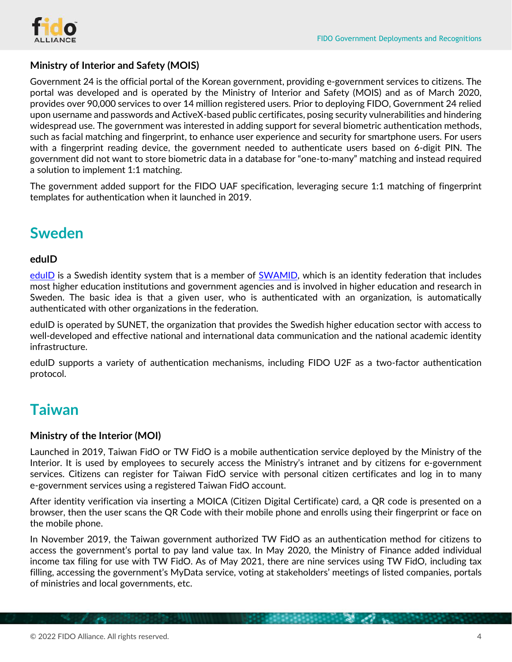

### **Ministry of Interior and Safety (MOIS)**

Government 24 is the official portal of the Korean government, providing e-government services to citizens. The portal was developed and is operated by the Ministry of Interior and Safety (MOIS) and as of March 2020, provides over 90,000 services to over 14 million registered users. Prior to deploying FIDO, Government 24 relied upon username and passwords and ActiveX-based public certificates, posing security vulnerabilities and hindering widespread use. The government was interested in adding support for several biometric authentication methods, such as facial matching and fingerprint, to enhance user experience and security for smartphone users. For users with a fingerprint reading device, the government needed to authenticate users based on 6-digit PIN. The government did not want to store biometric data in a database for "one-to-many" matching and instead required a solution to implement 1:1 matching.

The government added support for the FIDO UAF specification, leveraging secure 1:1 matching of fingerprint templates for authentication when it launched in 2019.

# **Sweden**

### **eduID**

[eduID](https://eduid.se/en/) is a Swedish identity system that is a member of **SWAMID**, which is an identity federation that includes most higher education institutions and government agencies and is involved in higher education and research in Sweden. The basic idea is that a given user, who is authenticated with an organization, is automatically authenticated with other organizations in the federation.

eduID is operated by SUNET, the organization that provides the Swedish higher education sector with access to well-developed and effective national and international data communication and the national academic identity infrastructure.

eduID supports a variety of authentication mechanisms, including FIDO U2F as a two-factor authentication protocol.

# **Taiwan**

### **Ministry of the Interior (MOI)**

Launched in 2019, Taiwan FidO or TW FidO is a mobile authentication service deployed by the Ministry of the Interior. It is used by employees to securely access the Ministry's intranet and by citizens for e-government services. Citizens can register for Taiwan FidO service with personal citizen certificates and log in to many e-government services using a registered Taiwan FidO account.

After identity verification via inserting a MOICA (Citizen Digital Certificate) card, a QR code is presented on a browser, then the user scans the QR Code with their mobile phone and enrolls using their fingerprint or face on the mobile phone.

In November 2019, the Taiwan government authorized TW FidO as an authentication method for citizens to access the government's portal to pay land value tax. In May 2020, the Ministry of Finance added individual income tax filing for use with TW FidO. As of May 2021, there are nine services using TW FidO, including tax filling, accessing the government's MyData service, voting at stakeholders' meetings of listed companies, portals of ministries and local governments, etc.

 $\mathcal{L}(\mathcal{F})$  and  $\mathcal{L}(\mathcal{F})$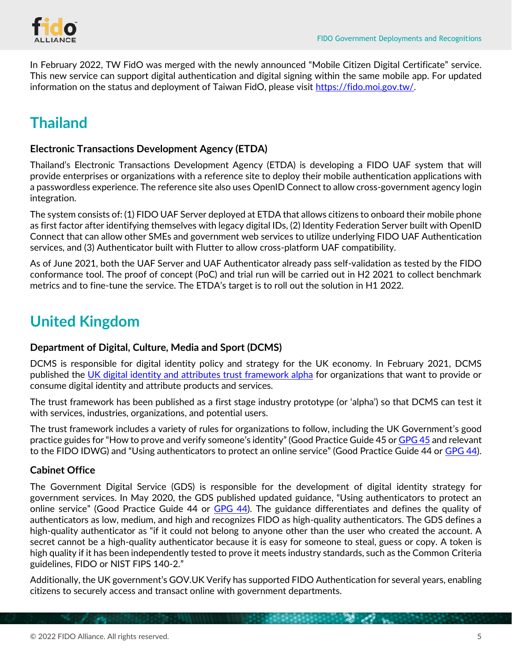

In February 2022, TW FidO was merged with the newly announced "Mobile Citizen Digital Certificate" service. This new service can support digital authentication and digital signing within the same mobile app. For updated information on the status and deployment of Taiwan FidO, please visit [https://fido.moi.gov.tw/.](https://fido.moi.gov.tw/)

# **Thailand**

### **Electronic Transactions Development Agency (ETDA)**

Thailand's Electronic Transactions Development Agency (ETDA) is developing a FIDO UAF system that will provide enterprises or organizations with a reference site to deploy their mobile authentication applications with a passwordless experience. The reference site also uses OpenID Connect to allow cross-government agency login integration.

The system consists of: (1) FIDO UAF Server deployed at ETDA that allows citizens to onboard their mobile phone as first factor after identifying themselves with legacy digital IDs, (2) Identity Federation Server built with OpenID Connect that can allow other SMEs and government web services to utilize underlying FIDO UAF Authentication services, and (3) Authenticator built with Flutter to allow cross-platform UAF compatibility.

As of June 2021, both the UAF Server and UAF Authenticator already pass self-validation as tested by the FIDO conformance tool. The proof of concept (PoC) and trial run will be carried out in H2 2021 to collect benchmark metrics and to fine-tune the service. The ETDA's target is to roll out the solution in H1 2022.

# **United Kingdom**

### **Department of Digital, Culture, Media and Sport (DCMS)**

DCMS is responsible for digital identity policy and strategy for the UK economy. In February 2021, DCMS published the [UK digital identity and attributes trust framework alpha](https://www.gov.uk/government/publications/the-uk-digital-identity-and-attributes-trust-framework/the-uk-digital-identity-and-attributes-trust-framework) for organizations that want to provide or consume digital identity and attribute products and services.

The trust framework has been published as a first stage industry prototype (or 'alpha') so that DCMS can test it with services, industries, organizations, and potential users.

The trust framework includes a variety of rules for organizations to follow, including the UK Government's good practice guides for "How to prove and verify someone's identity" (Good Practice Guide 45 o[r GPG 45](https://www.gov.uk/government/publications/identity-proofing-and-verification-of-an-individual) and relevant to the FIDO IDWG) and "Using authenticators to protect an online service" (Good Practice Guide 44 or [GPG 44\)](https://www.gov.uk/government/publications/authentication-credentials-for-online-government-services).

### **Cabinet Office**

The Government Digital Service (GDS) is responsible for the development of digital identity strategy for government services. In May 2020, the GDS published updated guidance, "Using authenticators to protect an online service" (Good Practice Guide 44 or [GPG 44\)](https://www.gov.uk/government/publications/authentication-credentials-for-online-government-services). The guidance differentiates and defines the quality of authenticators as low, medium, and high and recognizes FIDO as high-quality authenticators. The GDS defines a high-quality authenticator as "if it could not belong to anyone other than the user who created the account. A secret cannot be a high-quality authenticator because it is easy for someone to steal, guess or copy. A token is high quality if it has been independently tested to prove it meets industry standards, such as the Common Criteria guidelines, FIDO or NIST FIPS 140-2."

Additionally, the UK government's GOV.UK Verify has supported FIDO Authentication for several years, enabling citizens to securely access and transact online with government departments.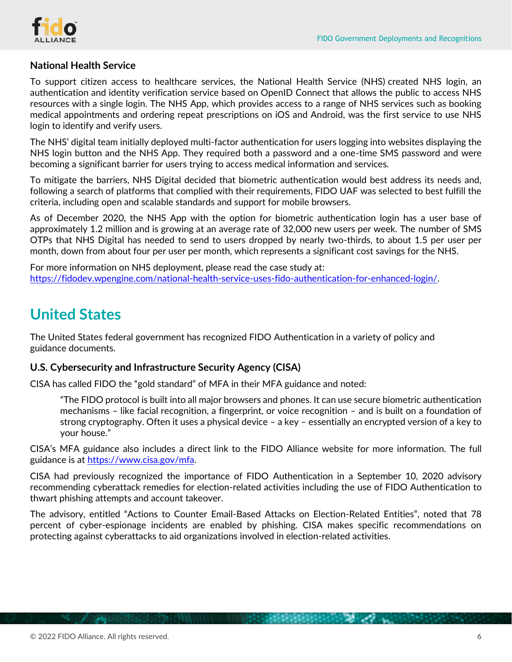

### **National Health Service**

To support citizen access to healthcare services, the National Health Service (NHS) created NHS login, an authentication and identity verification service based on OpenID Connect that allows the public to access NHS resources with a single login. The NHS App, which provides access to a range of NHS services such as booking medical appointments and ordering repeat prescriptions on iOS and Android, was the first service to use NHS login to identify and verify users.

The NHS' digital team initially deployed multi-factor authentication for users logging into websites displaying the NHS login button and the NHS App. They required both a password and a one-time SMS password and were becoming a significant barrier for users trying to access medical information and services.

To mitigate the barriers, NHS Digital decided that biometric authentication would best address its needs and, following a search of platforms that complied with their requirements, FIDO UAF was selected to best fulfill the criteria, including open and scalable standards and support for mobile browsers.

As of December 2020, the NHS App with the option for biometric authentication login has a user base of approximately 1.2 million and is growing at an average rate of 32,000 new users per week. The number of SMS OTPs that NHS Digital has needed to send to users dropped by nearly two-thirds, to about 1.5 per user per month, down from about four per user per month, which represents a significant cost savings for the NHS.

For more information on NHS deployment, please read the case study at: [https://fidodev.wpengine.com/national-health-service-uses-fido-authentication-for-enhanced-login/.](https://fidodev.wpengine.com/national-health-service-uses-fido-authentication-for-enhanced-login/)

# **United States**

The United States federal government has recognized FIDO Authentication in a variety of policy and guidance documents.

### **U.S. Cybersecurity and Infrastructure Security Agency (CISA)**

CISA has called FIDO the "gold standard" of MFA in their MFA guidance and noted:

"The FIDO protocol is built into all major browsers and phones. It can use secure biometric authentication mechanisms – like facial recognition, a fingerprint, or voice recognition – and is built on a foundation of strong cryptography. Often it uses a physical device – a key – essentially an encrypted version of a key to your house."

CISA's MFA guidance also includes a direct link to the FIDO Alliance website for more information. The full guidance is at [https://www.cisa.gov/mfa.](https://www.cisa.gov/mfa)

CISA had previously recognized the importance of FIDO Authentication in a September 10, 2020 advisory recommending cyberattack remedies for election-related activities including the use of FIDO Authentication to thwart phishing attempts and account takeover.

The advisory, entitled "Actions to Counter Email-Based Attacks on Election-Related Entities", noted that 78 percent of cyber-espionage incidents are enabled by phishing. CISA makes specific recommendations on protecting against cyberattacks to aid organizations involved in election-related activities.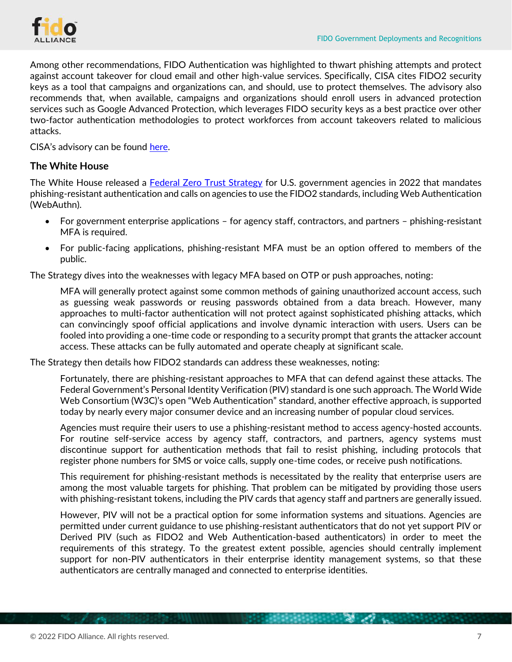

Among other recommendations, FIDO Authentication was highlighted to thwart phishing attempts and protect against account takeover for cloud email and other high-value services. Specifically, CISA cites FIDO2 security keys as a tool that campaigns and organizations can, and should, use to protect themselves. The advisory also recommends that, when available, campaigns and organizations should enroll users in advanced protection services such as Google Advanced Protection, which leverages FIDO security keys as a best practice over other two-factor authentication methodologies to protect workforces from account takeovers related to malicious attacks.

CISA's advisory can be found [here.](https://www.cisa.gov/sites/default/files/publications/CISA_Insights_Actions_to_Counter_Email-Based_Attacks_on_Election-Related_S508C.pdf)

### **The White House**

The White House released a [Federal Zero Trust Strategy](https://zerotrust.cyber.gov/federal-zero-trust-strategy/) for U.S. government agencies in 2022 that mandates phishing-resistant authentication and calls on agencies to use the FIDO2 standards, including Web Authentication (WebAuthn).

- For government enterprise applications for agency staff, contractors, and partners phishing-resistant MFA is required.
- For public-facing applications, phishing-resistant MFA must be an option offered to members of the public.

The Strategy dives into the weaknesses with legacy MFA based on OTP or push approaches, noting:

MFA will generally protect against some common methods of gaining unauthorized account access, such as guessing weak passwords or reusing passwords obtained from a data breach. However, many approaches to multi-factor authentication will not protect against sophisticated phishing attacks, which can convincingly spoof official applications and involve dynamic interaction with users. Users can be fooled into providing a one-time code or responding to a security prompt that grants the attacker account access. These attacks can be fully automated and operate cheaply at significant scale.

The Strategy then details how FIDO2 standards can address these weaknesses, noting:

Fortunately, there are phishing-resistant approaches to MFA that can defend against these attacks. The Federal Government's Personal Identity Verification (PIV) standard is one such approach. The World Wide Web Consortium (W3C)'s open "Web Authentication" standard, another effective approach, is supported today by nearly every major consumer device and an increasing number of popular cloud services.

Agencies must require their users to use a phishing-resistant method to access agency-hosted accounts. For routine self-service access by agency staff, contractors, and partners, agency systems must discontinue support for authentication methods that fail to resist phishing, including protocols that register phone numbers for SMS or voice calls, supply one-time codes, or receive push notifications.

This requirement for phishing-resistant methods is necessitated by the reality that enterprise users are among the most valuable targets for phishing. That problem can be mitigated by providing those users with phishing-resistant tokens, including the PIV cards that agency staff and partners are generally issued.

However, PIV will not be a practical option for some information systems and situations. Agencies are permitted under current guidance to use phishing-resistant authenticators that do not yet support PIV or Derived PIV (such as FIDO2 and Web Authentication-based authenticators) in order to meet the requirements of this strategy. To the greatest extent possible, agencies should centrally implement support for non-PIV authenticators in their enterprise identity management systems, so that these authenticators are centrally managed and connected to enterprise identities.

**CONTRACTOR**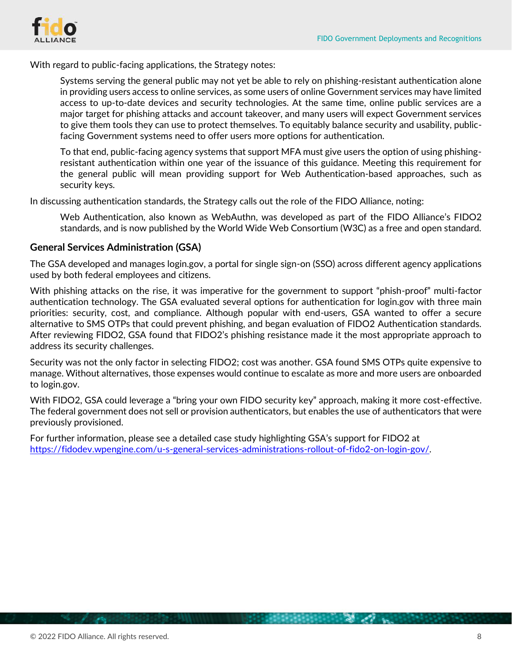

With regard to public-facing applications, the Strategy notes:

Systems serving the general public may not yet be able to rely on phishing-resistant authentication alone in providing users access to online services, as some users of online Government services may have limited access to up-to-date devices and security technologies. At the same time, online public services are a major target for phishing attacks and account takeover, and many users will expect Government services to give them tools they can use to protect themselves. To equitably balance security and usability, publicfacing Government systems need to offer users more options for authentication.

To that end, public-facing agency systems that support MFA must give users the option of using phishingresistant authentication within one year of the issuance of this guidance. Meeting this requirement for the general public will mean providing support for Web Authentication-based approaches, such as security keys.

In discussing authentication standards, the Strategy calls out the role of the FIDO Alliance, noting:

Web Authentication, also known as WebAuthn, was developed as part of the FIDO Alliance's FIDO2 standards, and is now published by the World Wide Web Consortium (W3C) as a free and open standard.

#### **General Services Administration (GSA)**

The GSA developed and manages login.gov, a portal for single sign-on (SSO) across different agency applications used by both federal employees and citizens.

With phishing attacks on the rise, it was imperative for the government to support "phish-proof" multi-factor authentication technology. The GSA evaluated several options for authentication for login.gov with three main priorities: security, cost, and compliance. Although popular with end-users, GSA wanted to offer a secure alternative to SMS OTPs that could prevent phishing, and began evaluation of FIDO2 Authentication standards. After reviewing FIDO2, GSA found that FIDO2's phishing resistance made it the most appropriate approach to address its security challenges.

Security was not the only factor in selecting FIDO2; cost was another. GSA found SMS OTPs quite expensive to manage. Without alternatives, those expenses would continue to escalate as more and more users are onboarded to login.gov.

With FIDO2, GSA could leverage a "bring your own FIDO security key" approach, making it more cost-effective. The federal government does not sell or provision authenticators, but enables the use of authenticators that were previously provisioned.

For further information, please see a detailed case study highlighting GSA's support for FIDO2 at [https://fidodev.wpengine.com/u-s-general-services-administrations-rollout-of-fido2-on-login-gov/.](https://fidodev.wpengine.com/u-s-general-services-administrations-rollout-of-fido2-on-login-gov/)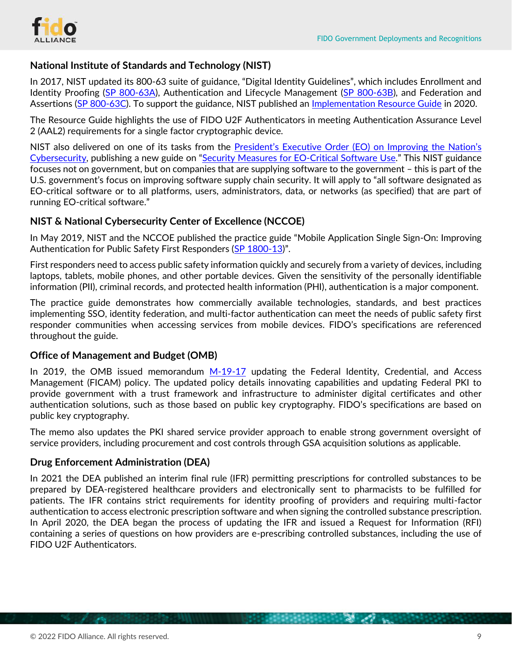### **National Institute of Standards and Technology (NIST)**

In 2017, NIST updated its 800-63 suite of guidance, "Digital Identity Guidelines", which includes Enrollment and Identity Proofing [\(SP 800-63A\)](https://nvlpubs.nist.gov/nistpubs/SpecialPublications/NIST.SP.800-63a.pdf), Authentication and Lifecycle Management [\(SP 800-63B\)](https://nvlpubs.nist.gov/nistpubs/SpecialPublications/NIST.SP.800-63b.pdf), and Federation and Assertions [\(SP 800-63C\)](https://nvlpubs.nist.gov/nistpubs/SpecialPublications/NIST.SP.800-63c.pdf). To support the guidance, NIST published an [Implementation Resource Guide](https://pages.nist.gov/800-63-3-Implementation-Resources/) in 2020.

The Resource Guide highlights the use of FIDO U2F Authenticators in meeting Authentication Assurance Level 2 (AAL2) requirements for a single factor cryptographic device.

NIST also delivered on one of its tasks from the President's Executive Order (EO) [on Improving the Nation's](https://www.federalregister.gov/documents/2021/05/17/2021-10460/improving-the-nations-cybersecurity)  [Cybersecurity,](https://www.federalregister.gov/documents/2021/05/17/2021-10460/improving-the-nations-cybersecurity) publishing a new guide on "[Security Measures for EO-Critical Software Use](https://www.nist.gov/itl/executive-order-improving-nations-cybersecurity/security-measures-eo-critical-software-use)." This NIST guidance focuses not on government, but on companies that are supplying software to the government – this is part of the U.S. government's focus on improving software supply chain security. It will apply to "all software designated as EO-critical software or to all platforms, users, administrators, data, or networks (as specified) that are part of running EO-critical software."

### **NIST & National Cybersecurity Center of Excellence (NCCOE)**

In May 2019, NIST and the NCCOE published the practice guide "Mobile Application Single Sign-On: Improving Authentication for Public Safety First Responders (SP [1800-13](https://nvlpubs.nist.gov/nistpubs/SpecialPublications/NIST.SP.1800-13.pdf))".

First responders need to access public safety information quickly and securely from a variety of devices, including laptops, tablets, mobile phones, and other portable devices. Given the sensitivity of the personally identifiable information (PII), criminal records, and protected health information (PHI), authentication is a major component.

The practice guide demonstrates how commercially available technologies, standards, and best practices implementing SSO, identity federation, and multi-factor authentication can meet the needs of public safety first responder communities when accessing services from mobile devices. FIDO's specifications are referenced throughout the guide.

### **Office of Management and Budget (OMB)**

In 2019, the OMB issued memorandum  $M-19-17$  updating the Federal Identity, Credential, and Access Management (FICAM) policy. The updated policy details innovating capabilities and updating Federal PKI to provide government with a trust framework and infrastructure to administer digital certificates and other authentication solutions, such as those based on public key cryptography. FIDO's specifications are based on public key cryptography.

The memo also updates the PKI shared service provider approach to enable strong government oversight of service providers, including procurement and cost controls through GSA acquisition solutions as applicable.

### **Drug Enforcement Administration (DEA)**

In 2021 the DEA published an interim final rule (IFR) permitting prescriptions for controlled substances to be prepared by DEA-registered healthcare providers and electronically sent to pharmacists to be fulfilled for patients. The IFR contains strict requirements for identity proofing of providers and requiring multi-factor authentication to access electronic prescription software and when signing the controlled substance prescription. In April 2020, the DEA began the process of updating the IFR and issued a Request for Information (RFI) containing a series of questions on how providers are e-prescribing controlled substances, including the use of FIDO U2F Authenticators.